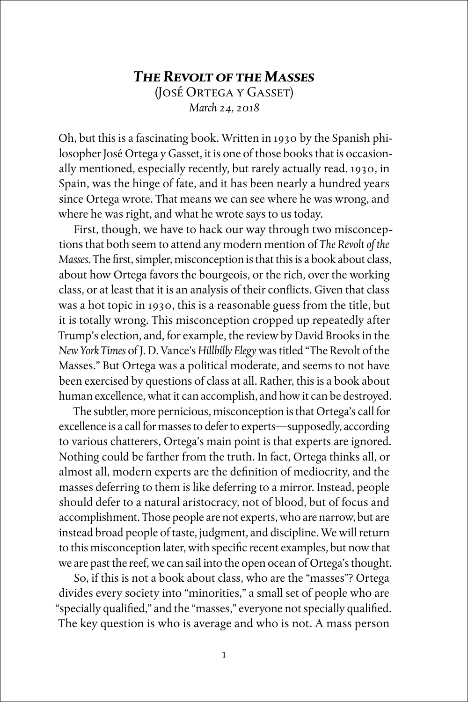## *The Revolt of the Masses* (José Ortega y Gasset) *March 24, 2018*

Oh, but this is a fascinating book. Written in 1930 by the Spanish philosopher José Ortega y Gasset, it is one of those books that is occasionally mentioned, especially recently, but rarely actually read. 1930, in Spain, was the hinge of fate, and it has been nearly a hundred years since Ortega wrote. That means we can see where he was wrong, and where he was right, and what he wrote says to us today.

First, though, we have to hack our way through two misconceptions that both seem to attend any modern mention of *The Revolt of the Masses*. The first, simpler, misconception is that this is a book about class, about how Ortega favors the bourgeois, or the rich, over the working class, or at least that it is an analysis of their conflicts. Given that class was a hot topic in 1930, this is a reasonable guess from the title, but it is totally wrong. This misconception cropped up repeatedly after Trump's election, and, for example, the review by David Brooks in the *New York Times* of J. D. Vance's *Hillbilly Elegy* was titled "The Revolt of the Masses." But Ortega was a political moderate, and seems to not have been exercised by questions of class at all. Rather, this is a book about human excellence, what it can accomplish, and how it can be destroyed.

The subtler, more pernicious, misconception is that Ortega's call for excellence is a call for masses to defer to experts—supposedly, according to various chatterers, Ortega's main point is that experts are ignored. Nothing could be farther from the truth. In fact, Ortega thinks all, or almost all, modern experts are the definition of mediocrity, and the masses deferring to them is like deferring to a mirror. Instead, people should defer to a natural aristocracy, not of blood, but of focus and accomplishment. Those people are not experts, who are narrow, but are instead broad people of taste, judgment, and discipline. We will return to this misconception later, with specific recent examples, but now that we are past the reef, we can sail into the open ocean of Ortega's thought.

So, if this is not a book about class, who are the "masses"? Ortega divides every society into "minorities," a small set of people who are "specially qualified," and the "masses," everyone not specially qualified. The key question is who is average and who is not. A mass person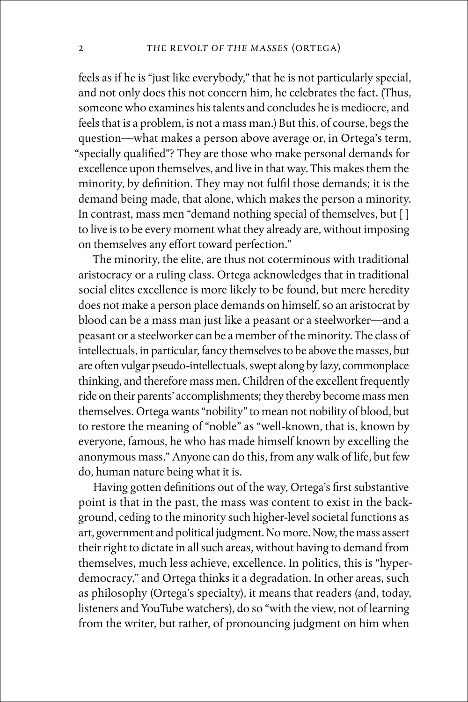feels as if he is "just like everybody," that he is not particularly special, and not only does this not concern him, he celebrates the fact. (Thus, someone who examines his talents and concludes he is mediocre, and feels that is a problem, is not a mass man.) But this, of course, begs the question—what makes a person above average or, in Ortega's term, "specially qualified"? They are those who make personal demands for excellence upon themselves, and live in that way. This makes them the minority, by definition. They may not fulfil those demands; it is the demand being made, that alone, which makes the person a minority. In contrast, mass men "demand nothing special of themselves, but [ ] to live is to be every moment what they already are, without imposing on themselves any effort toward perfection."

The minority, the elite, are thus not coterminous with traditional aristocracy or a ruling class. Ortega acknowledges that in traditional social elites excellence is more likely to be found, but mere heredity does not make a person place demands on himself, so an aristocrat by blood can be a mass man just like a peasant or a steelworker—and a peasant or a steelworker can be a member of the minority. The class of intellectuals, in particular, fancy themselves to be above the masses, but are often vulgar pseudo-intellectuals, swept along by lazy, commonplace thinking, and therefore mass men. Children of the excellent frequently ride on their parents' accomplishments; they thereby become mass men themselves. Ortega wants "nobility" to mean not nobility of blood, but to restore the meaning of "noble" as "well-known, that is, known by everyone, famous, he who has made himself known by excelling the anonymous mass." Anyone can do this, from any walk of life, but few do, human nature being what it is.

Having gotten definitions out of the way, Ortega's first substantive point is that in the past, the mass was content to exist in the background, ceding to the minority such higher-level societal functions as art, government and political judgment. No more. Now, the mass assert their right to dictate in all such areas, without having to demand from themselves, much less achieve, excellence. In politics, this is "hyperdemocracy," and Ortega thinks it a degradation. In other areas, such as philosophy (Ortega's specialty), it means that readers (and, today, listeners and YouTube watchers), do so "with the view, not of learning from the writer, but rather, of pronouncing judgment on him when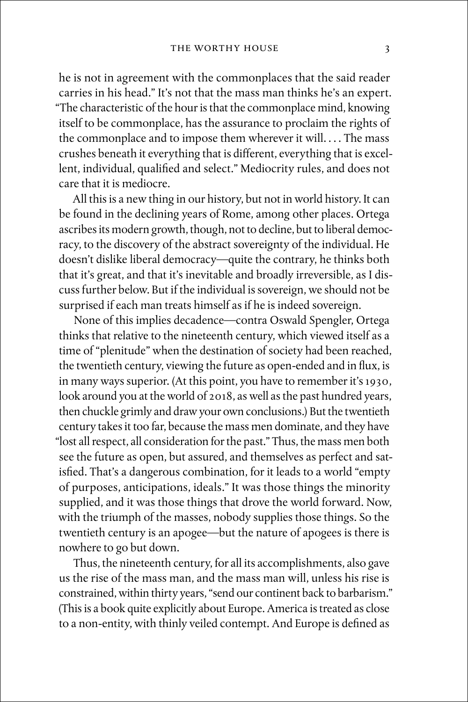he is not in agreement with the commonplaces that the said reader carries in his head." It's not that the mass man thinks he's an expert. "The characteristic of the hour is that the commonplace mind, knowing itself to be commonplace, has the assurance to proclaim the rights of the commonplace and to impose them wherever it will. . . . The mass crushes beneath it everything that is different, everything that is excellent, individual, qualified and select." Mediocrity rules, and does not care that it is mediocre.

All this is a new thing in our history, but not in world history. It can be found in the declining years of Rome, among other places. Ortega ascribes its modern growth, though, not to decline, but to liberal democracy, to the discovery of the abstract sovereignty of the individual. He doesn't dislike liberal democracy—quite the contrary, he thinks both that it's great, and that it's inevitable and broadly irreversible, as I discuss further below. But if the individual is sovereign, we should not be surprised if each man treats himself as if he is indeed sovereign.

None of this implies decadence—contra Oswald Spengler, Ortega thinks that relative to the nineteenth century, which viewed itself as a time of "plenitude" when the destination of society had been reached, the twentieth century, viewing the future as open-ended and in flux, is in many ways superior. (At this point, you have to remember it's 1930, look around you at the world of 2018, as well as the past hundred years, then chuckle grimly and draw your own conclusions.) But the twentieth century takes it too far, because the mass men dominate, and they have "lost all respect, all consideration for the past." Thus, the mass men both see the future as open, but assured, and themselves as perfect and satisfied. That's a dangerous combination, for it leads to a world "empty of purposes, anticipations, ideals." It was those things the minority supplied, and it was those things that drove the world forward. Now, with the triumph of the masses, nobody supplies those things. So the twentieth century is an apogee—but the nature of apogees is there is nowhere to go but down.

Thus, the nineteenth century, for all its accomplishments, also gave us the rise of the mass man, and the mass man will, unless his rise is constrained, within thirty years, "send our continent back to barbarism." (This is a book quite explicitly about Europe. America is treated as close to a non-entity, with thinly veiled contempt. And Europe is defined as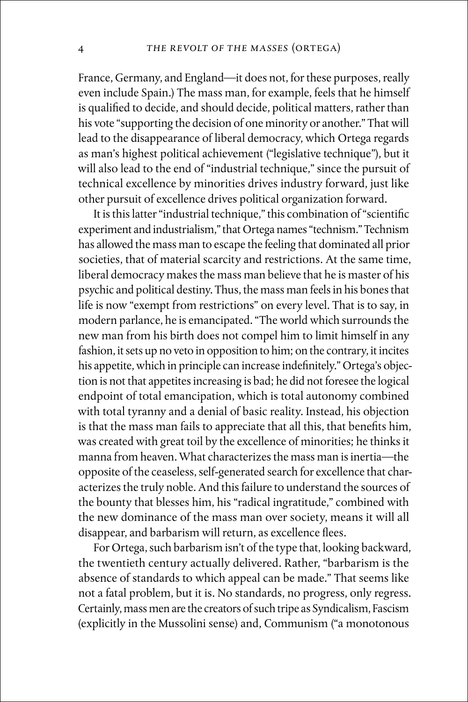France, Germany, and England—it does not, for these purposes, really even include Spain.) The mass man, for example, feels that he himself is qualified to decide, and should decide, political matters, rather than his vote "supporting the decision of one minority or another." That will lead to the disappearance of liberal democracy, which Ortega regards as man's highest political achievement ("legislative technique"), but it will also lead to the end of "industrial technique," since the pursuit of technical excellence by minorities drives industry forward, just like other pursuit of excellence drives political organization forward.

It is this latter "industrial technique," this combination of "scientific experiment and industrialism," that Ortega names "technism." Technism has allowed the mass man to escape the feeling that dominated all prior societies, that of material scarcity and restrictions. At the same time, liberal democracy makes the mass man believe that he is master of his psychic and political destiny. Thus, the mass man feels in his bones that life is now "exempt from restrictions" on every level. That is to say, in modern parlance, he is emancipated. "The world which surrounds the new man from his birth does not compel him to limit himself in any fashion, it sets up no veto in opposition to him; on the contrary, it incites his appetite, which in principle can increase indefinitely." Ortega's objection is not that appetites increasing is bad; he did not foresee the logical endpoint of total emancipation, which is total autonomy combined with total tyranny and a denial of basic reality. Instead, his objection is that the mass man fails to appreciate that all this, that benefits him, was created with great toil by the excellence of minorities; he thinks it manna from heaven. What characterizes the mass man is inertia—the opposite of the ceaseless, self-generated search for excellence that characterizes the truly noble. And this failure to understand the sources of the bounty that blesses him, his "radical ingratitude," combined with the new dominance of the mass man over society, means it will all disappear, and barbarism will return, as excellence flees.

For Ortega, such barbarism isn't of the type that, looking backward, the twentieth century actually delivered. Rather, "barbarism is the absence of standards to which appeal can be made." That seems like not a fatal problem, but it is. No standards, no progress, only regress. Certainly, mass men are the creators of such tripe as Syndicalism, Fascism (explicitly in the Mussolini sense) and, Communism ("a monotonous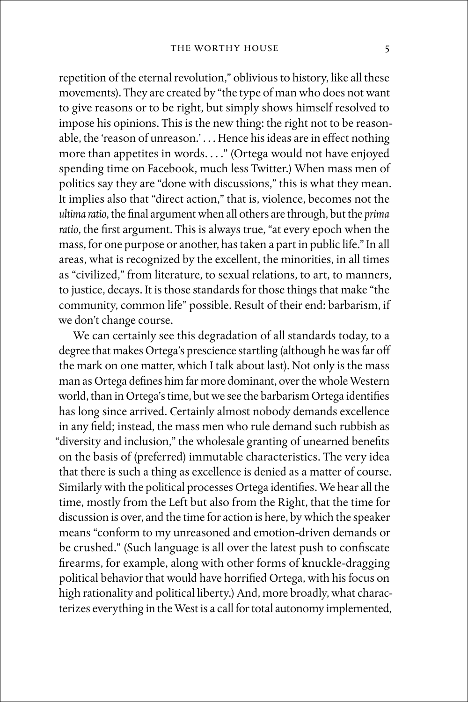repetition of the eternal revolution," oblivious to history, like all these movements). They are created by "the type of man who does not want to give reasons or to be right, but simply shows himself resolved to impose his opinions. This is the new thing: the right not to be reasonable, the 'reason of unreason.' . . . Hence his ideas are in effect nothing more than appetites in words. . . ." (Ortega would not have enjoyed spending time on Facebook, much less Twitter.) When mass men of politics say they are "done with discussions," this is what they mean. It implies also that "direct action," that is, violence, becomes not the *ultima ratio*, the final argument when all others are through, but the *prima ratio*, the first argument. This is always true, "at every epoch when the mass, for one purpose or another, has taken a part in public life." In all areas, what is recognized by the excellent, the minorities, in all times as "civilized," from literature, to sexual relations, to art, to manners, to justice, decays. It is those standards for those things that make "the community, common life" possible. Result of their end: barbarism, if we don't change course.

We can certainly see this degradation of all standards today, to a degree that makes Ortega's prescience startling (although he was far off the mark on one matter, which I talk about last). Not only is the mass man as Ortega defines him far more dominant, over the whole Western world, than in Ortega's time, but we see the barbarism Ortega identifies has long since arrived. Certainly almost nobody demands excellence in any field; instead, the mass men who rule demand such rubbish as "diversity and inclusion," the wholesale granting of unearned benefits on the basis of (preferred) immutable characteristics. The very idea that there is such a thing as excellence is denied as a matter of course. Similarly with the political processes Ortega identifies. We hear all the time, mostly from the Left but also from the Right, that the time for discussion is over, and the time for action is here, by which the speaker means "conform to my unreasoned and emotion-driven demands or be crushed." (Such language is all over the latest push to confiscate firearms, for example, along with other forms of knuckle-dragging political behavior that would have horrified Ortega, with his focus on high rationality and political liberty.) And, more broadly, what characterizes everything in the West is a call for total autonomy implemented,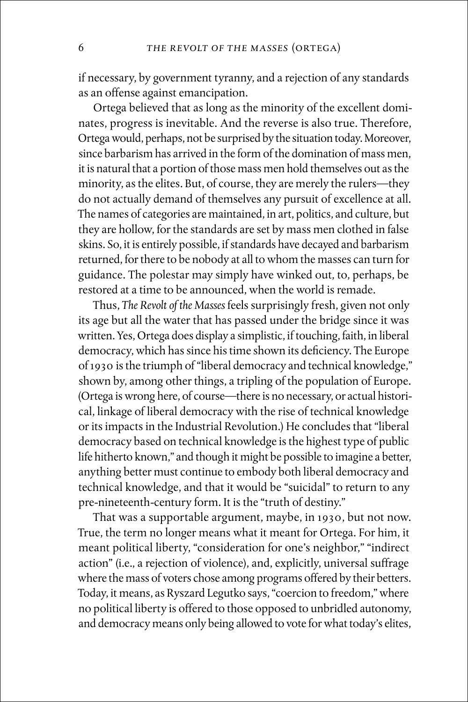if necessary, by government tyranny, and a rejection of any standards as an offense against emancipation.

Ortega believed that as long as the minority of the excellent dominates, progress is inevitable. And the reverse is also true. Therefore, Ortega would, perhaps, not be surprised by the situation today. Moreover, since barbarism has arrived in the form of the domination of mass men, it is natural that a portion of those mass men hold themselves out as the minority, as the elites. But, of course, they are merely the rulers—they do not actually demand of themselves any pursuit of excellence at all. The names of categories are maintained, in art, politics, and culture, but they are hollow, for the standards are set by mass men clothed in false skins. So, it is entirely possible, if standards have decayed and barbarism returned, for there to be nobody at all to whom the masses can turn for guidance. The polestar may simply have winked out, to, perhaps, be restored at a time to be announced, when the world is remade.

Thus, *The Revolt of the Masses* feels surprisingly fresh, given not only its age but all the water that has passed under the bridge since it was written. Yes, Ortega does display a simplistic, if touching, faith, in liberal democracy, which has since his time shown its deficiency. The Europe of 1930 is the triumph of "liberal democracy and technical knowledge," shown by, among other things, a tripling of the population of Europe. (Ortega is wrong here, of course—there is no necessary, or actual historical, linkage of liberal democracy with the rise of technical knowledge or its impacts in the Industrial Revolution.) He concludes that "liberal democracy based on technical knowledge is the highest type of public life hitherto known," and though it might be possible to imagine a better, anything better must continue to embody both liberal democracy and technical knowledge, and that it would be "suicidal" to return to any pre-nineteenth-century form. It is the "truth of destiny."

That was a supportable argument, maybe, in 1930, but not now. True, the term no longer means what it meant for Ortega. For him, it meant political liberty, "consideration for one's neighbor," "indirect action" (i.e., a rejection of violence), and, explicitly, universal suffrage where the mass of voters chose among programs offered by their betters. Today, it means, as Ryszard Legutko says, "coercion to freedom," where no political liberty is offered to those opposed to unbridled autonomy, and democracy means only being allowed to vote for what today's elites,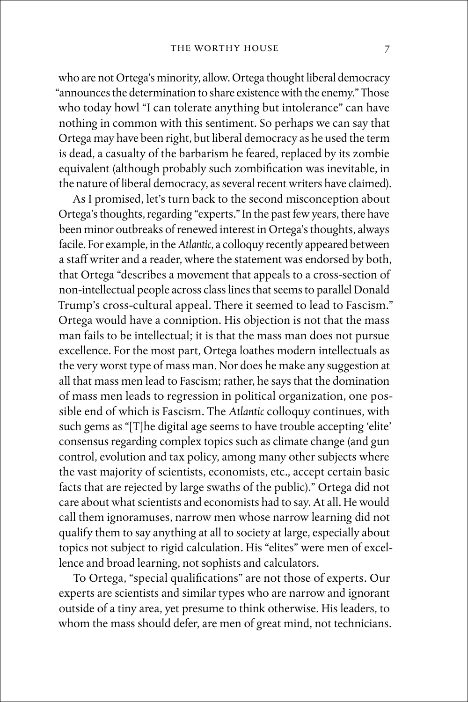who are not Ortega's minority, allow. Ortega thought liberal democracy "announces the determination to share existence with the enemy." Those who today howl "I can tolerate anything but intolerance" can have nothing in common with this sentiment. So perhaps we can say that Ortega may have been right, but liberal democracy as he used the term is dead, a casualty of the barbarism he feared, replaced by its zombie equivalent (although probably such zombification was inevitable, in the nature of liberal democracy, as several recent writers have claimed).

As I promised, let's turn back to the second misconception about Ortega's thoughts, regarding "experts." In the past few years, there have been minor outbreaks of renewed interest in Ortega's thoughts, always facile. For example, in the *Atlantic*, a colloquy recently appeared between a staff writer and a reader, where the statement was endorsed by both, that Ortega "describes a movement that appeals to a cross-section of non-intellectual people across class lines that seems to parallel Donald Trump's cross-cultural appeal. There it seemed to lead to Fascism." Ortega would have a conniption. His objection is not that the mass man fails to be intellectual; it is that the mass man does not pursue excellence. For the most part, Ortega loathes modern intellectuals as the very worst type of mass man. Nor does he make any suggestion at all that mass men lead to Fascism; rather, he says that the domination of mass men leads to regression in political organization, one possible end of which is Fascism. The *Atlantic* colloquy continues, with such gems as "[T]he digital age seems to have trouble accepting 'elite' consensus regarding complex topics such as climate change (and gun control, evolution and tax policy, among many other subjects where the vast majority of scientists, economists, etc., accept certain basic facts that are rejected by large swaths of the public)." Ortega did not care about what scientists and economists had to say. At all. He would call them ignoramuses, narrow men whose narrow learning did not qualify them to say anything at all to society at large, especially about topics not subject to rigid calculation. His "elites" were men of excellence and broad learning, not sophists and calculators.

To Ortega, "special qualifications" are not those of experts. Our experts are scientists and similar types who are narrow and ignorant outside of a tiny area, yet presume to think otherwise. His leaders, to whom the mass should defer, are men of great mind, not technicians.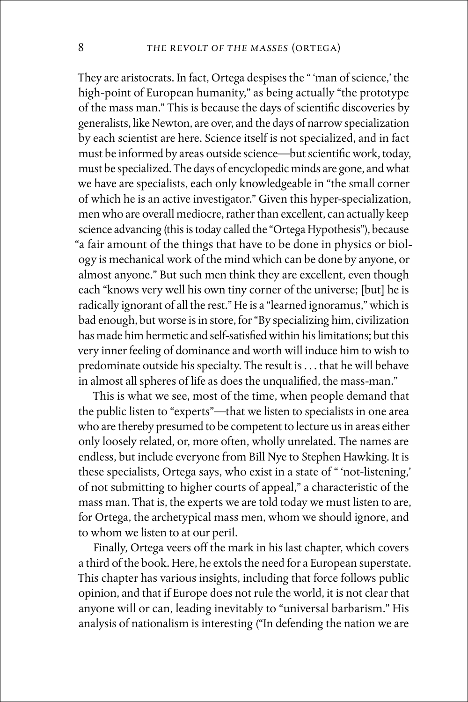They are aristocrats. In fact, Ortega despises the " 'man of science,' the high-point of European humanity," as being actually "the prototype of the mass man." This is because the days of scientific discoveries by generalists, like Newton, are over, and the days of narrow specialization by each scientist are here. Science itself is not specialized, and in fact must be informed by areas outside science—but scientific work, today, must be specialized. The days of encyclopedic minds are gone, and what we have are specialists, each only knowledgeable in "the small corner of which he is an active investigator." Given this hyper-specialization, men who are overall mediocre, rather than excellent, can actually keep science advancing (this is today called the "Ortega Hypothesis"), because "a fair amount of the things that have to be done in physics or biology is mechanical work of the mind which can be done by anyone, or almost anyone." But such men think they are excellent, even though each "knows very well his own tiny corner of the universe; [but] he is radically ignorant of all the rest." He is a "learned ignoramus," which is bad enough, but worse is in store, for "By specializing him, civilization has made him hermetic and self-satisfied within his limitations; but this very inner feeling of dominance and worth will induce him to wish to predominate outside his specialty. The result is . . . that he will behave in almost all spheres of life as does the unqualified, the mass-man."

This is what we see, most of the time, when people demand that the public listen to "experts"—that we listen to specialists in one area who are thereby presumed to be competent to lecture us in areas either only loosely related, or, more often, wholly unrelated. The names are endless, but include everyone from Bill Nye to Stephen Hawking. It is these specialists, Ortega says, who exist in a state of " 'not-listening,' of not submitting to higher courts of appeal," a characteristic of the mass man. That is, the experts we are told today we must listen to are, for Ortega, the archetypical mass men, whom we should ignore, and to whom we listen to at our peril.

Finally, Ortega veers off the mark in his last chapter, which covers a third of the book. Here, he extols the need for a European superstate. This chapter has various insights, including that force follows public opinion, and that if Europe does not rule the world, it is not clear that anyone will or can, leading inevitably to "universal barbarism." His analysis of nationalism is interesting ("In defending the nation we are